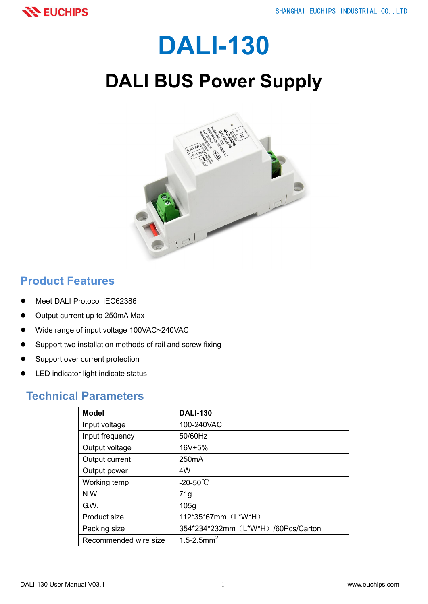# DALI-130

# DALI BUS Power Supply



### Product Features

- Meet DALI Protocol IEC62386
- Output current up to 250mA Max
- Wide range of input voltage 100VAC~240VAC
- Support two installation methods of rail and screw fixing
- Support over current protection
- LED indicator light indicate status

#### Technical Parameters

| <b>Model</b>          | <b>DALI-130</b>                     |
|-----------------------|-------------------------------------|
| Input voltage         | 100-240VAC                          |
| Input frequency       | 50/60Hz                             |
| Output voltage        | 16V+5%                              |
| Output current        | 250 <sub>m</sub> A                  |
| Output power          | 4W                                  |
| Working temp          | -20-50 $°C$                         |
| N.W.                  | 71g                                 |
| G.W.                  | 105g                                |
| Product size          | 112*35*67mm (L*W*H)                 |
| Packing size          | 354*234*232mm (L*W*H) /60Pcs/Carton |
| Recommended wire size | 1.5-2.5mm <sup>2</sup>              |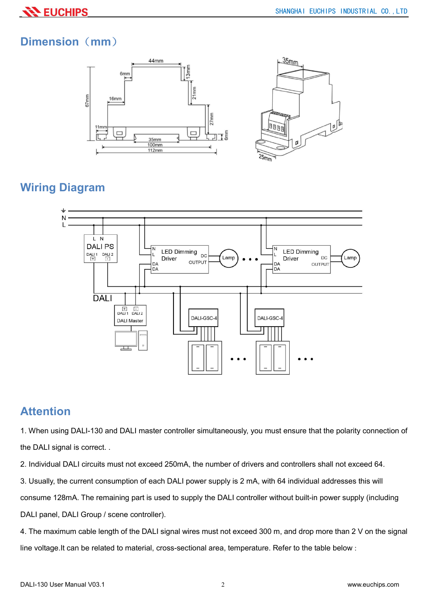## Dimension (mm)



# Wiring Diagram



#### Attention

1. When using DALI-130 and DALI master controller simultaneously, you must ensure that the polarity connection of the DALI signal is correct. .

2. Individual DALI circuits must not exceed 250mA, the number of drivers and controllers shall not exceed 64.

3. Usually, the current consumption of each DALI power supply is 2 mA, with 64 individual addresses this will

consume 128mA. The remaining part is used to supply the DALI controller without built-in power supply (including

DALI panel, DALI Group / scene controller).

4. The maximum cable length of the DALI signal wires must not exceed 300 m, and drop more than 2 V on the signal line voltage.It can be related to material, cross-sectional area, temperature. Refer to the table below :